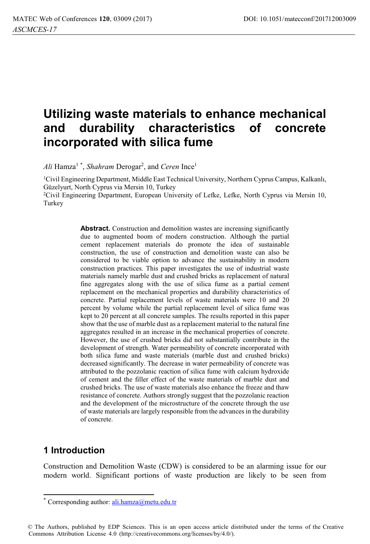# **Utilizing waste materials to enhance mechanical and durability characteristics of concrete incorporated with silica fume**

Ali Hamza<sup>1</sup><sup>\*</sup>, *Shahram* Derogar<sup>2</sup>, and *Ceren* Ince<sup>1</sup>

<sup>1</sup>Civil Engineering Department, Middle East Technical University, Northern Cyprus Campus, Kalkanlı, Güzelyurt, North Cyprus via Mersin 10, Turkey

<sup>2</sup>Civil Engineering Department, European University of Lefke, Lefke, North Cyprus via Mersin 10, Turkey

> **Abstract.** Construction and demolition wastes are increasing significantly due to augmented boom of modern construction. Although the partial cement replacement materials do promote the idea of sustainable construction, the use of construction and demolition waste can also be considered to be viable option to advance the sustainability in modern construction practices. This paper investigates the use of industrial waste materials namely marble dust and crushed bricks as replacement of natural fine aggregates along with the use of silica fume as a partial cement replacement on the mechanical properties and durability characteristics of concrete. Partial replacement levels of waste materials were 10 and 20 percent by volume while the partial replacement level of silica fume was kept to 20 percent at all concrete samples. The results reported in this paper show that the use of marble dust as a replacement material to the natural fine aggregates resulted in an increase in the mechanical properties of concrete. However, the use of crushed bricks did not substantially contribute in the development of strength. Water permeability of concrete incorporated with both silica fume and waste materials (marble dust and crushed bricks) decreased significantly. The decrease in water permeability of concrete was attributed to the pozzolanic reaction of silica fume with calcium hydroxide of cement and the filler effect of the waste materials of marble dust and crushed bricks. The use of waste materials also enhance the freeze and thaw resistance of concrete. Authors strongly suggest that the pozzolanic reaction and the development of the microstructure of the concrete through the use of waste materials are largely responsible from the advances in the durability of concrete.

## **1 Introduction**

Construction and Demolition Waste (CDW) is considered to be an alarming issue for our modern world. Significant portions of waste production are likely to be seen from

© The Authors, published by EDP Sciences. This is an open access article distributed under the terms of the Creative Commons Attribution License 4.0 (http://creativecommons.org/licenses/by/4.0/).

<sup>\*</sup> Corresponding author: ali.hamza@metu.edu.tr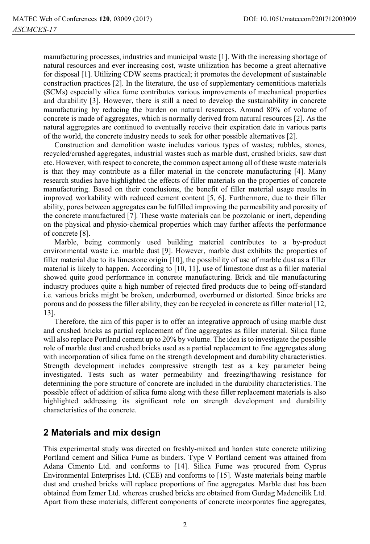manufacturing processes, industries and municipal waste [1]. With the increasing shortage of natural resources and ever increasing cost, waste utilization has become a great alternative for disposal [1]. Utilizing CDW seems practical; it promotes the development of sustainable construction practices [2]. In the literature, the use of supplementary cementitious materials (SCMs) especially silica fume contributes various improvements of mechanical properties and durability [3]. However, there is still a need to develop the sustainability in concrete manufacturing by reducing the burden on natural resources. Around 80% of volume of concrete is made of aggregates, which is normally derived from natural resources [2]. As the natural aggregates are continued to eventually receive their expiration date in various parts of the world, the concrete industry needs to seek for other possible alternatives [2].

Construction and demolition waste includes various types of wastes; rubbles, stones, recycled/crushed aggregates, industrial wastes such as marble dust, crushed bricks, saw dust etc. However, with respect to concrete, the common aspect among all of these waste materials is that they may contribute as a filler material in the concrete manufacturing [4]. Many research studies have highlighted the effects of filler materials on the properties of concrete manufacturing. Based on their conclusions, the benefit of filler material usage results in improved workability with reduced cement content [5, 6]. Furthermore, due to their filler ability, pores between aggregates can be fulfilled improving the permeability and porosity of the concrete manufactured [7]. These waste materials can be pozzolanic or inert, depending on the physical and physio-chemical properties which may further affects the performance of concrete [8].

Marble, being commonly used building material contributes to a by-product environmental waste i.e. marble dust [9]. However, marble dust exhibits the properties of filler material due to its limestone origin [10], the possibility of use of marble dust as a filler material is likely to happen. According to [10, 11], use of limestone dust as a filler material showed quite good performance in concrete manufacturing. Brick and tile manufacturing industry produces quite a high number of rejected fired products due to being off-standard i.e. various bricks might be broken, underburned, overburned or distorted. Since bricks are porous and do possess the filler ability, they can be recycled in concrete as filler material [12, 13].

Therefore, the aim of this paper is to offer an integrative approach of using marble dust and crushed bricks as partial replacement of fine aggregates as filler material. Silica fume will also replace Portland cement up to 20% by volume. The idea is to investigate the possible role of marble dust and crushed bricks used as a partial replacement to fine aggregates along with incorporation of silica fume on the strength development and durability characteristics. Strength development includes compressive strength test as a key parameter being investigated. Tests such as water permeability and freezing/thawing resistance for determining the pore structure of concrete are included in the durability characteristics. The possible effect of addition of silica fume along with these filler replacement materials is also highlighted addressing its significant role on strength development and durability characteristics of the concrete.

## **2 Materials and mix design**

This experimental study was directed on freshly-mixed and harden state concrete utilizing Portland cement and Silica Fume as binders. Type V Portland cement was attained from Adana Cimento Ltd. and conforms to [14]. Silica Fume was procured from Cyprus Environmental Enterprises Ltd. (CEE) and conforms to [15]. Waste materials being marble dust and crushed bricks will replace proportions of fine aggregates. Marble dust has been obtained from Izmer Ltd. whereas crushed bricks are obtained from Gurdag Madencilik Ltd. Apart from these materials, different components of concrete incorporates fine aggregates,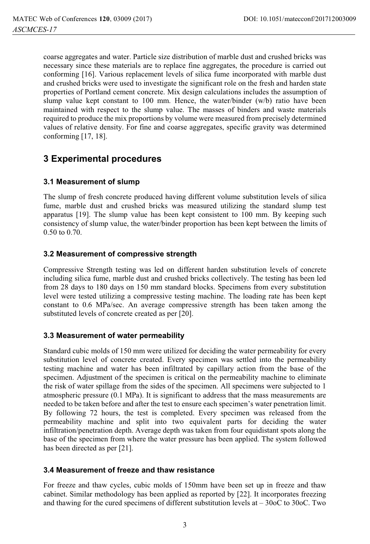coarse aggregates and water. Particle size distribution of marble dust and crushed bricks was necessary since these materials are to replace fine aggregates, the procedure is carried out conforming [16]. Various replacement levels of silica fume incorporated with marble dust and crushed bricks were used to investigate the significant role on the fresh and harden state properties of Portland cement concrete. Mix design calculations includes the assumption of slump value kept constant to 100 mm. Hence, the water/binder  $(w/b)$  ratio have been maintained with respect to the slump value. The masses of binders and waste materials required to produce the mix proportions by volume were measured from precisely determined values of relative density. For fine and coarse aggregates, specific gravity was determined conforming [17, 18].

## **3 Experimental procedures**

## **3.1 Measurement of slump**

The slump of fresh concrete produced having different volume substitution levels of silica fume, marble dust and crushed bricks was measured utilizing the standard slump test apparatus [19]. The slump value has been kept consistent to 100 mm. By keeping such consistency of slump value, the water/binder proportion has been kept between the limits of 0.50 to 0.70.

## **3.2 Measurement of compressive strength**

Compressive Strength testing was led on different harden substitution levels of concrete including silica fume, marble dust and crushed bricks collectively. The testing has been led from 28 days to 180 days on 150 mm standard blocks. Specimens from every substitution level were tested utilizing a compressive testing machine. The loading rate has been kept constant to 0.6 MPa/sec. An average compressive strength has been taken among the substituted levels of concrete created as per [20].

### **3.3 Measurement of water permeability**

Standard cubic molds of 150 mm were utilized for deciding the water permeability for every substitution level of concrete created. Every specimen was settled into the permeability testing machine and water has been infiltrated by capillary action from the base of the specimen. Adjustment of the specimen is critical on the permeability machine to eliminate the risk of water spillage from the sides of the specimen. All specimens were subjected to 1 atmospheric pressure (0.1 MPa). It is significant to address that the mass measurements are needed to be taken before and after the test to ensure each specimen's water penetration limit. By following 72 hours, the test is completed. Every specimen was released from the permeability machine and split into two equivalent parts for deciding the water infiltration/penetration depth. Average depth was taken from four equidistant spots along the base of the specimen from where the water pressure has been applied. The system followed has been directed as per [21].

### **3.4 Measurement of freeze and thaw resistance**

For freeze and thaw cycles, cubic molds of 150mm have been set up in freeze and thaw cabinet. Similar methodology has been applied as reported by [22]. It incorporates freezing and thawing for the cured specimens of different substitution levels at – 30oC to 30oC. Two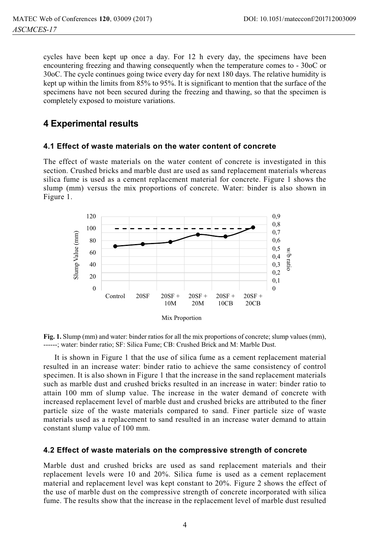cycles have been kept up once a day. For 12 h every day, the specimens have been encountering freezing and thawing consequently when the temperature comes to - 30oC or 30oC. The cycle continues going twice every day for next 180 days. The relative humidity is kept up within the limits from 85% to 95%. It is significant to mention that the surface of the specimens have not been secured during the freezing and thawing, so that the specimen is completely exposed to moisture variations.

## **4 Experimental results**

### **4.1 Effect of waste materials on the water content of concrete**

The effect of waste materials on the water content of concrete is investigated in this section. Crushed bricks and marble dust are used as sand replacement materials whereas silica fume is used as a cement replacement material for concrete. Figure 1 shows the slump (mm) versus the mix proportions of concrete. Water: binder is also shown in Figure 1.



**Fig. 1.** Slump (mm) and water: binder ratios for all the mix proportions of concrete; slump values (mm), ------; water: binder ratio; SF: Silica Fume; CB: Crushed Brick and M: Marble Dust.

It is shown in Figure 1 that the use of silica fume as a cement replacement material resulted in an increase water: binder ratio to achieve the same consistency of control specimen. It is also shown in Figure 1 that the increase in the sand replacement materials such as marble dust and crushed bricks resulted in an increase in water: binder ratio to attain 100 mm of slump value. The increase in the water demand of concrete with increased replacement level of marble dust and crushed bricks are attributed to the finer particle size of the waste materials compared to sand. Finer particle size of waste materials used as a replacement to sand resulted in an increase water demand to attain constant slump value of 100 mm.

### **4.2 Effect of waste materials on the compressive strength of concrete**

Marble dust and crushed bricks are used as sand replacement materials and their replacement levels were 10 and 20%. Silica fume is used as a cement replacement material and replacement level was kept constant to 20%. Figure 2 shows the effect of the use of marble dust on the compressive strength of concrete incorporated with silica fume. The results show that the increase in the replacement level of marble dust resulted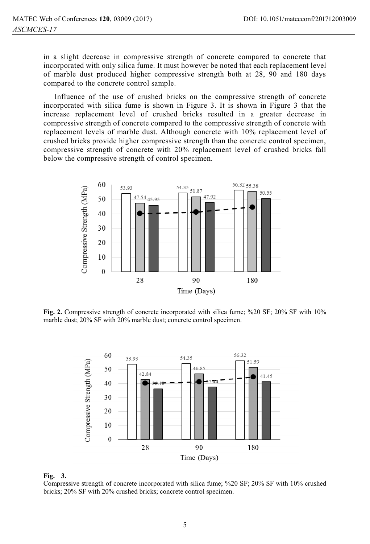in a slight decrease in compressive strength of concrete compared to concrete that incorporated with only silica fume. It must however be noted that each replacement level of marble dust produced higher compressive strength both at 28, 90 and 180 days compared to the concrete control sample.

Influence of the use of crushed bricks on the compressive strength of concrete incorporated with silica fume is shown in Figure 3. It is shown in Figure 3 that the increase replacement level of crushed bricks resulted in a greater decrease in compressive strength of concrete compared to the compressive strength of concrete with replacement levels of marble dust. Although concrete with 10% replacement level of crushed bricks provide higher compressive strength than the concrete control specimen, compressive strength of concrete with 20% replacement level of crushed bricks fall below the compressive strength of control specimen.



**Fig. 2.** Compressive strength of concrete incorporated with silica fume; %20 SF; 20% SF with 10% marble dust; 20% SF with 20% marble dust; concrete control specimen.



**Fig. 3.** Compressive strength of concrete incorporated with silica fume; %20 SF; 20% SF with 10% crushed bricks; 20% SF with 20% crushed bricks; concrete control specimen.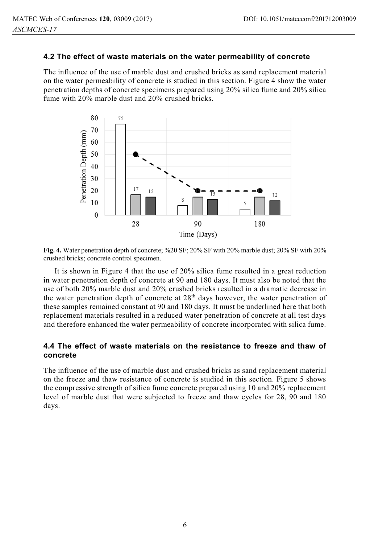#### **4.2 The effect of waste materials on the water permeability of concrete**

The influence of the use of marble dust and crushed bricks as sand replacement material on the water permeability of concrete is studied in this section. Figure 4 show the water penetration depths of concrete specimens prepared using 20% silica fume and 20% silica fume with 20% marble dust and 20% crushed bricks.



**Fig. 4.** Water penetration depth of concrete; %20 SF; 20% SF with 20% marble dust; 20% SF with 20% crushed bricks; concrete control specimen.

It is shown in Figure 4 that the use of 20% silica fume resulted in a great reduction in water penetration depth of concrete at 90 and 180 days. It must also be noted that the use of both 20% marble dust and 20% crushed bricks resulted in a dramatic decrease in the water penetration depth of concrete at  $28<sup>th</sup>$  days however, the water penetration of these samples remained constant at 90 and 180 days. It must be underlined here that both replacement materials resulted in a reduced water penetration of concrete at all test days and therefore enhanced the water permeability of concrete incorporated with silica fume.

### **4.4 The effect of waste materials on the resistance to freeze and thaw of concrete**

The influence of the use of marble dust and crushed bricks as sand replacement material on the freeze and thaw resistance of concrete is studied in this section. Figure 5 shows the compressive strength of silica fume concrete prepared using 10 and 20% replacement level of marble dust that were subjected to freeze and thaw cycles for 28, 90 and 180 days.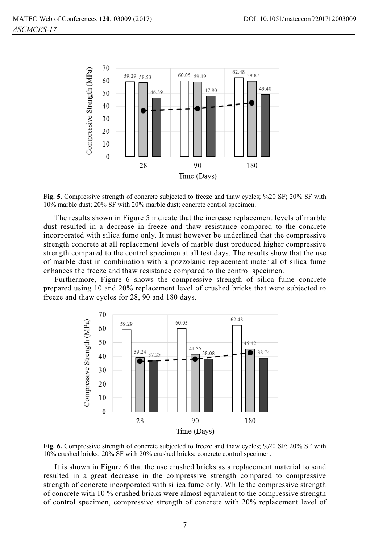

**Fig. 5.** Compressive strength of concrete subjected to freeze and thaw cycles; %20 SF; 20% SF with 10% marble dust; 20% SF with 20% marble dust; concrete control specimen.

The results shown in Figure 5 indicate that the increase replacement levels of marble dust resulted in a decrease in freeze and thaw resistance compared to the concrete incorporated with silica fume only. It must however be underlined that the compressive strength concrete at all replacement levels of marble dust produced higher compressive strength compared to the control specimen at all test days. The results show that the use of marble dust in combination with a pozzolanic replacement material of silica fume enhances the freeze and thaw resistance compared to the control specimen.

Furthermore, Figure 6 shows the compressive strength of silica fume concrete prepared using 10 and 20% replacement level of crushed bricks that were subjected to freeze and thaw cycles for 28, 90 and 180 days.



Fig. 6. Compressive strength of concrete subjected to freeze and thaw cycles; %20 SF; 20% SF with 10% crushed bricks; 20% SF with 20% crushed bricks; concrete control specimen.

It is shown in Figure 6 that the use crushed bricks as a replacement material to sand resulted in a great decrease in the compressive strength compared to compressive strength of concrete incorporated with silica fume only. While the compressive strength of concrete with 10 % crushed bricks were almost equivalent to the compressive strength of control specimen, compressive strength of concrete with 20% replacement level of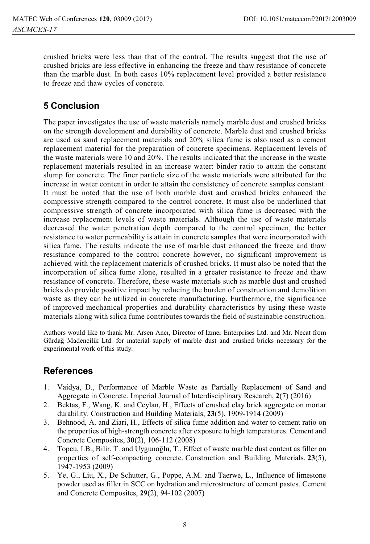crushed bricks were less than that of the control. The results suggest that the use of crushed bricks are less effective in enhancing the freeze and thaw resistance of concrete than the marble dust. In both cases 10% replacement level provided a better resistance to freeze and thaw cycles of concrete.

## **5 Conclusion**

The paper investigates the use of waste materials namely marble dust and crushed bricks on the strength development and durability of concrete. Marble dust and crushed bricks are used as sand replacement materials and 20% silica fume is also used as a cement replacement material for the preparation of concrete specimens. Replacement levels of the waste materials were 10 and 20%. The results indicated that the increase in the waste replacement materials resulted in an increase water: binder ratio to attain the constant slump for concrete. The finer particle size of the waste materials were attributed for the increase in water content in order to attain the consistency of concrete samples constant. It must be noted that the use of both marble dust and crushed bricks enhanced the compressive strength compared to the control concrete. It must also be underlined that compressive strength of concrete incorporated with silica fume is decreased with the increase replacement levels of waste materials. Although the use of waste materials decreased the water penetration depth compared to the control specimen, the better resistance to water permeability is attain in concrete samples that were incorporated with silica fume. The results indicate the use of marble dust enhanced the freeze and thaw resistance compared to the control concrete however, no significant improvement is achieved with the replacement materials of crushed bricks. It must also be noted that the incorporation of silica fume alone, resulted in a greater resistance to freeze and thaw resistance of concrete. Therefore, these waste materials such as marble dust and crushed bricks do provide positive impact by reducing the burden of construction and demolition waste as they can be utilized in concrete manufacturing. Furthermore, the significance of improved mechanical properties and durability characteristics by using these waste materials along with silica fume contributes towards the field of sustainable construction.

Authors would like to thank Mr. Arsen Anc, Director of Izmer Enterprises Ltd. and Mr. Necat from Gürdağ Madencilik Ltd. for material supply of marble dust and crushed bricks necessary for the experimental work of this study.

## **References**

- 1. Vaidya, D., Performance of Marble Waste as Partially Replacement of Sand and Aggregate in Concrete. Imperial Journal of Interdisciplinary Research, **2**(7) (2016)
- 2. Bektas, F., Wang, K. and Ceylan, H., Effects of crushed clay brick aggregate on mortar durability. Construction and Building Materials, **23**(5), 1909-1914 (2009)
- 3. Behnood, A. and Ziari, H., Effects of silica fume addition and water to cement ratio on the properties of high-strength concrete after exposure to high temperatures. Cement and Concrete Composites, **30**(2), 106-112 (2008)
- 4. Topcu, I.B., Bilir, T. and Uygunoğlu, T., Effect of waste marble dust content as filler on properties of self-compacting concrete. Construction and Building Materials, **23**(5), 1947-1953 (2009)
- 5. Ye, G., Liu, X., De Schutter, G., Poppe, A.M. and Taerwe, L., Influence of limestone powder used as filler in SCC on hydration and microstructure of cement pastes. Cement and Concrete Composites, **29**(2), 94-102 (2007)